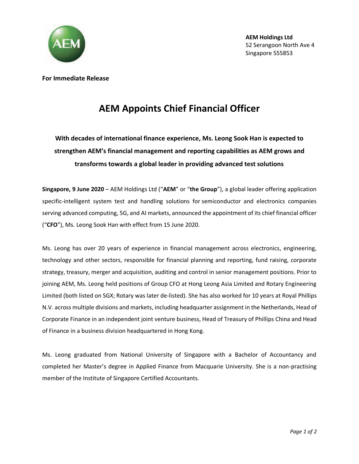

**For Immediate Release**

## **AEM Appoints Chief Financial Officer**

## **With decades of international finance experience, Ms. Leong Sook Han is expected to strengthen AEM's financial management and reporting capabilities as AEM grows and transforms towards a global leader in providing advanced test solutions**

**Singapore, 9 June 2020** – AEM Holdings Ltd ("**AEM**" or "**the Group**"), a global leader offering application specific-intelligent system test and handling solutions for semiconductor and electronics companies serving advanced computing, 5G, and AI markets, announced the appointment of its chief financial officer ("**CFO**"), Ms. Leong Sook Han with effect from 15 June 2020.

Ms. Leong has over 20 years of experience in financial management across electronics, engineering, technology and other sectors, responsible for financial planning and reporting, fund raising, corporate strategy, treasury, merger and acquisition, auditing and control in senior management positions. Prior to joining AEM, Ms. Leong held positions of Group CFO at Hong Leong Asia Limited and Rotary Engineering Limited (both listed on SGX; Rotary was later de-listed). She has also worked for 10 years at Royal Phillips N.V. across multiple divisions and markets, including headquarter assignment in the Netherlands, Head of Corporate Finance in an independent joint venture business, Head of Treasury of Phillips China and Head of Finance in a business division headquartered in Hong Kong.

Ms. Leong graduated from National University of Singapore with a Bachelor of Accountancy and completed her Master's degree in Applied Finance from Macquarie University. She is a non-practising member of the Institute of Singapore Certified Accountants.